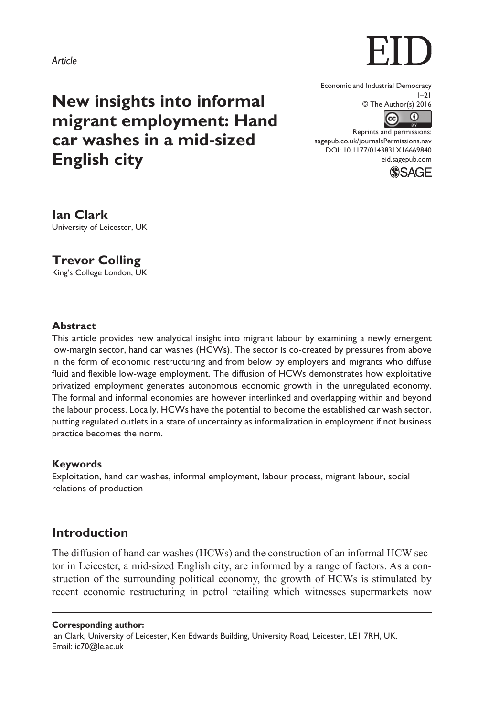### *Article*

Economic and Industrial Democracy 1–21 © The Author(s) 2016 റ (cc

 $\overline{RY}$ Reprints and permissions: sagepub.co.uk/journalsPermissions.nav DOI: 10.1177/0143831X16669840 eid.sagepub.com



**New insights into informal migrant employment: Hand car washes in a mid-sized English city**

**Ian Clark** University of Leicester, UK

# **Trevor Colling**

King's College London, UK

## **Abstract**

This article provides new analytical insight into migrant labour by examining a newly emergent low-margin sector, hand car washes (HCWs). The sector is co-created by pressures from above in the form of economic restructuring and from below by employers and migrants who diffuse fluid and flexible low-wage employment. The diffusion of HCWs demonstrates how exploitative privatized employment generates autonomous economic growth in the unregulated economy. The formal and informal economies are however interlinked and overlapping within and beyond the labour process. Locally, HCWs have the potential to become the established car wash sector, putting regulated outlets in a state of uncertainty as informalization in employment if not business practice becomes the norm.

## **Keywords**

Exploitation, hand car washes, informal employment, labour process, migrant labour, social relations of production

# **Introduction**

The diffusion of hand car washes (HCWs) and the construction of an informal HCW sector in Leicester, a mid-sized English city, are informed by a range of factors. As a construction of the surrounding political economy, the growth of HCWs is stimulated by recent economic restructuring in petrol retailing which witnesses supermarkets now

**Corresponding author:**

Ian Clark, University of Leicester, Ken Edwards Building, University Road, Leicester, LE1 7RH, UK. Email: [ic70@le.ac.uk](mailto:ic70@le.ac.uk)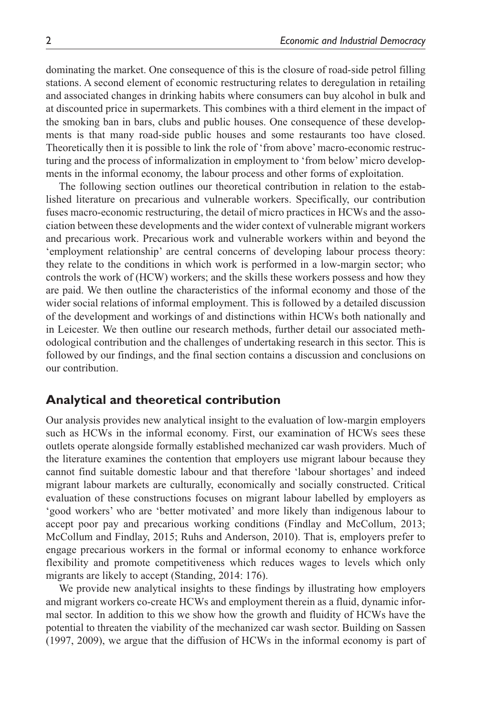dominating the market. One consequence of this is the closure of road-side petrol filling stations. A second element of economic restructuring relates to deregulation in retailing and associated changes in drinking habits where consumers can buy alcohol in bulk and at discounted price in supermarkets. This combines with a third element in the impact of the smoking ban in bars, clubs and public houses. One consequence of these developments is that many road-side public houses and some restaurants too have closed. Theoretically then it is possible to link the role of 'from above' macro-economic restructuring and the process of informalization in employment to 'from below' micro developments in the informal economy, the labour process and other forms of exploitation.

The following section outlines our theoretical contribution in relation to the established literature on precarious and vulnerable workers. Specifically, our contribution fuses macro-economic restructuring, the detail of micro practices in HCWs and the association between these developments and the wider context of vulnerable migrant workers and precarious work. Precarious work and vulnerable workers within and beyond the 'employment relationship' are central concerns of developing labour process theory: they relate to the conditions in which work is performed in a low-margin sector; who controls the work of (HCW) workers; and the skills these workers possess and how they are paid. We then outline the characteristics of the informal economy and those of the wider social relations of informal employment. This is followed by a detailed discussion of the development and workings of and distinctions within HCWs both nationally and in Leicester. We then outline our research methods, further detail our associated methodological contribution and the challenges of undertaking research in this sector. This is followed by our findings, and the final section contains a discussion and conclusions on our contribution.

## **Analytical and theoretical contribution**

Our analysis provides new analytical insight to the evaluation of low-margin employers such as HCWs in the informal economy. First, our examination of HCWs sees these outlets operate alongside formally established mechanized car wash providers. Much of the literature examines the contention that employers use migrant labour because they cannot find suitable domestic labour and that therefore 'labour shortages' and indeed migrant labour markets are culturally, economically and socially constructed. Critical evaluation of these constructions focuses on migrant labour labelled by employers as 'good workers' who are 'better motivated' and more likely than indigenous labour to accept poor pay and precarious working conditions (Findlay and McCollum, 2013; McCollum and Findlay, 2015; Ruhs and Anderson, 2010). That is, employers prefer to engage precarious workers in the formal or informal economy to enhance workforce flexibility and promote competitiveness which reduces wages to levels which only migrants are likely to accept (Standing, 2014: 176).

We provide new analytical insights to these findings by illustrating how employers and migrant workers co-create HCWs and employment therein as a fluid, dynamic informal sector. In addition to this we show how the growth and fluidity of HCWs have the potential to threaten the viability of the mechanized car wash sector. Building on Sassen (1997, 2009), we argue that the diffusion of HCWs in the informal economy is part of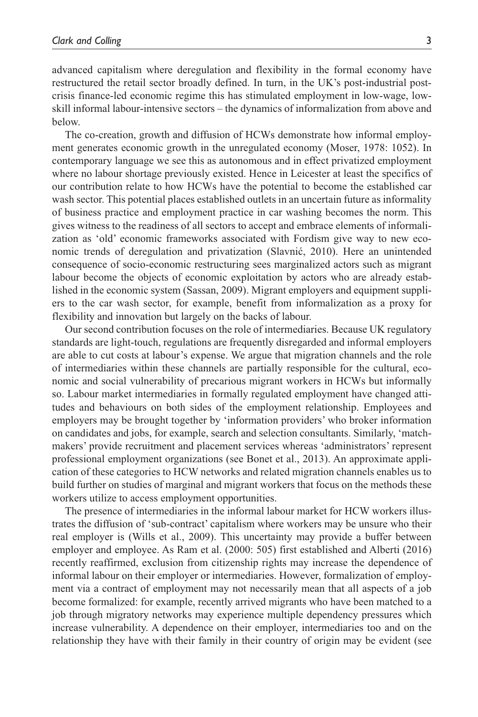advanced capitalism where deregulation and flexibility in the formal economy have restructured the retail sector broadly defined. In turn, in the UK's post-industrial postcrisis finance-led economic regime this has stimulated employment in low-wage, lowskill informal labour-intensive sectors – the dynamics of informalization from above and below.

The co-creation, growth and diffusion of HCWs demonstrate how informal employment generates economic growth in the unregulated economy (Moser, 1978: 1052). In contemporary language we see this as autonomous and in effect privatized employment where no labour shortage previously existed. Hence in Leicester at least the specifics of our contribution relate to how HCWs have the potential to become the established car wash sector. This potential places established outlets in an uncertain future as informality of business practice and employment practice in car washing becomes the norm. This gives witness to the readiness of all sectors to accept and embrace elements of informalization as 'old' economic frameworks associated with Fordism give way to new economic trends of deregulation and privatization (Slavnić, 2010). Here an unintended consequence of socio-economic restructuring sees marginalized actors such as migrant labour become the objects of economic exploitation by actors who are already established in the economic system (Sassan, 2009). Migrant employers and equipment suppliers to the car wash sector, for example, benefit from informalization as a proxy for flexibility and innovation but largely on the backs of labour.

Our second contribution focuses on the role of intermediaries. Because UK regulatory standards are light-touch, regulations are frequently disregarded and informal employers are able to cut costs at labour's expense. We argue that migration channels and the role of intermediaries within these channels are partially responsible for the cultural, economic and social vulnerability of precarious migrant workers in HCWs but informally so. Labour market intermediaries in formally regulated employment have changed attitudes and behaviours on both sides of the employment relationship. Employees and employers may be brought together by 'information providers' who broker information on candidates and jobs, for example, search and selection consultants. Similarly, 'matchmakers' provide recruitment and placement services whereas 'administrators' represent professional employment organizations (see Bonet et al., 2013). An approximate application of these categories to HCW networks and related migration channels enables us to build further on studies of marginal and migrant workers that focus on the methods these workers utilize to access employment opportunities.

The presence of intermediaries in the informal labour market for HCW workers illustrates the diffusion of 'sub-contract' capitalism where workers may be unsure who their real employer is (Wills et al., 2009). This uncertainty may provide a buffer between employer and employee. As Ram et al. (2000: 505) first established and Alberti (2016) recently reaffirmed, exclusion from citizenship rights may increase the dependence of informal labour on their employer or intermediaries. However, formalization of employment via a contract of employment may not necessarily mean that all aspects of a job become formalized: for example, recently arrived migrants who have been matched to a job through migratory networks may experience multiple dependency pressures which increase vulnerability. A dependence on their employer, intermediaries too and on the relationship they have with their family in their country of origin may be evident (see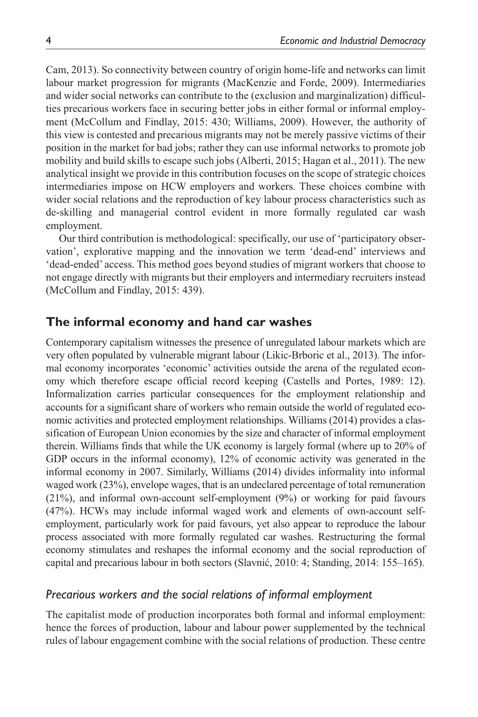Cam, 2013). So connectivity between country of origin home-life and networks can limit labour market progression for migrants (MacKenzie and Forde, 2009). Intermediaries and wider social networks can contribute to the (exclusion and marginalization) difficulties precarious workers face in securing better jobs in either formal or informal employment (McCollum and Findlay, 2015: 430; Williams, 2009). However, the authority of this view is contested and precarious migrants may not be merely passive victims of their position in the market for bad jobs; rather they can use informal networks to promote job mobility and build skills to escape such jobs (Alberti, 2015; Hagan et al., 2011). The new analytical insight we provide in this contribution focuses on the scope of strategic choices intermediaries impose on HCW employers and workers. These choices combine with wider social relations and the reproduction of key labour process characteristics such as de-skilling and managerial control evident in more formally regulated car wash employment.

Our third contribution is methodological: specifically, our use of 'participatory observation', explorative mapping and the innovation we term 'dead-end' interviews and 'dead-ended' access. This method goes beyond studies of migrant workers that choose to not engage directly with migrants but their employers and intermediary recruiters instead (McCollum and Findlay, 2015: 439).

## **The informal economy and hand car washes**

Contemporary capitalism witnesses the presence of unregulated labour markets which are very often populated by vulnerable migrant labour (Likic-Brboric et al., 2013). The informal economy incorporates 'economic' activities outside the arena of the regulated economy which therefore escape official record keeping (Castells and Portes, 1989: 12). Informalization carries particular consequences for the employment relationship and accounts for a significant share of workers who remain outside the world of regulated economic activities and protected employment relationships. Williams (2014) provides a classification of European Union economies by the size and character of informal employment therein. Williams finds that while the UK economy is largely formal (where up to 20% of GDP occurs in the informal economy), 12% of economic activity was generated in the informal economy in 2007. Similarly, Williams (2014) divides informality into informal waged work (23%), envelope wages, that is an undeclared percentage of total remuneration (21%), and informal own-account self-employment (9%) or working for paid favours (47%). HCWs may include informal waged work and elements of own-account selfemployment, particularly work for paid favours, yet also appear to reproduce the labour process associated with more formally regulated car washes. Restructuring the formal economy stimulates and reshapes the informal economy and the social reproduction of capital and precarious labour in both sectors (Slavnić, 2010: 4; Standing, 2014: 155–165).

## *Precarious workers and the social relations of informal employment*

The capitalist mode of production incorporates both formal and informal employment: hence the forces of production, labour and labour power supplemented by the technical rules of labour engagement combine with the social relations of production. These centre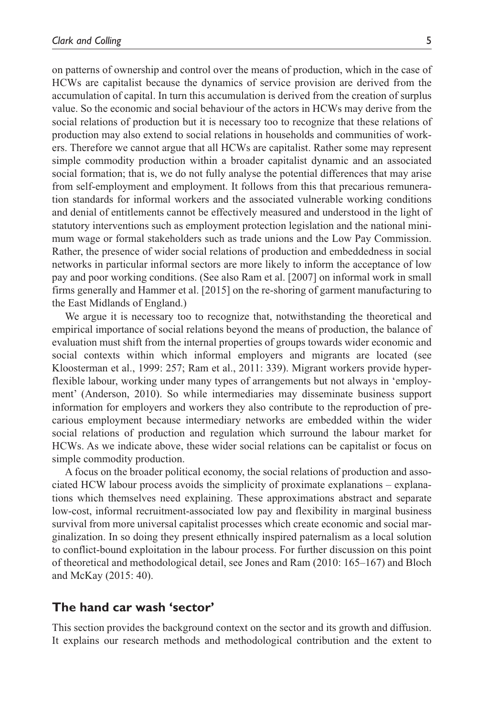on patterns of ownership and control over the means of production, which in the case of HCWs are capitalist because the dynamics of service provision are derived from the accumulation of capital. In turn this accumulation is derived from the creation of surplus value. So the economic and social behaviour of the actors in HCWs may derive from the social relations of production but it is necessary too to recognize that these relations of production may also extend to social relations in households and communities of workers. Therefore we cannot argue that all HCWs are capitalist. Rather some may represent simple commodity production within a broader capitalist dynamic and an associated social formation; that is, we do not fully analyse the potential differences that may arise from self-employment and employment. It follows from this that precarious remuneration standards for informal workers and the associated vulnerable working conditions and denial of entitlements cannot be effectively measured and understood in the light of statutory interventions such as employment protection legislation and the national minimum wage or formal stakeholders such as trade unions and the Low Pay Commission. Rather, the presence of wider social relations of production and embeddedness in social networks in particular informal sectors are more likely to inform the acceptance of low pay and poor working conditions. (See also Ram et al. [2007] on informal work in small firms generally and Hammer et al. [2015] on the re-shoring of garment manufacturing to the East Midlands of England.)

We argue it is necessary too to recognize that, notwithstanding the theoretical and empirical importance of social relations beyond the means of production, the balance of evaluation must shift from the internal properties of groups towards wider economic and social contexts within which informal employers and migrants are located (see Kloosterman et al., 1999: 257; Ram et al., 2011: 339). Migrant workers provide hyperflexible labour, working under many types of arrangements but not always in 'employment' (Anderson, 2010). So while intermediaries may disseminate business support information for employers and workers they also contribute to the reproduction of precarious employment because intermediary networks are embedded within the wider social relations of production and regulation which surround the labour market for HCWs. As we indicate above, these wider social relations can be capitalist or focus on simple commodity production.

A focus on the broader political economy, the social relations of production and associated HCW labour process avoids the simplicity of proximate explanations – explanations which themselves need explaining. These approximations abstract and separate low-cost, informal recruitment-associated low pay and flexibility in marginal business survival from more universal capitalist processes which create economic and social marginalization. In so doing they present ethnically inspired paternalism as a local solution to conflict-bound exploitation in the labour process. For further discussion on this point of theoretical and methodological detail, see Jones and Ram (2010: 165–167) and Bloch and McKay (2015: 40).

### **The hand car wash 'sector'**

This section provides the background context on the sector and its growth and diffusion. It explains our research methods and methodological contribution and the extent to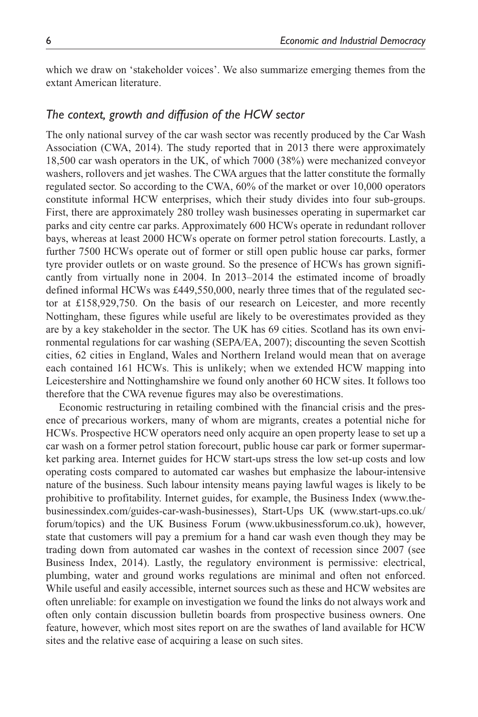which we draw on 'stakeholder voices'. We also summarize emerging themes from the extant American literature.

### *The context, growth and diffusion of the HCW sector*

The only national survey of the car wash sector was recently produced by the Car Wash Association (CWA, 2014). The study reported that in 2013 there were approximately 18,500 car wash operators in the UK, of which 7000 (38%) were mechanized conveyor washers, rollovers and jet washes. The CWA argues that the latter constitute the formally regulated sector. So according to the CWA, 60% of the market or over 10,000 operators constitute informal HCW enterprises, which their study divides into four sub-groups. First, there are approximately 280 trolley wash businesses operating in supermarket car parks and city centre car parks. Approximately 600 HCWs operate in redundant rollover bays, whereas at least 2000 HCWs operate on former petrol station forecourts. Lastly, a further 7500 HCWs operate out of former or still open public house car parks, former tyre provider outlets or on waste ground. So the presence of HCWs has grown significantly from virtually none in 2004. In 2013–2014 the estimated income of broadly defined informal HCWs was £449,550,000, nearly three times that of the regulated sector at £158,929,750. On the basis of our research on Leicester, and more recently Nottingham, these figures while useful are likely to be overestimates provided as they are by a key stakeholder in the sector. The UK has 69 cities. Scotland has its own environmental regulations for car washing (SEPA/EA, 2007); discounting the seven Scottish cities, 62 cities in England, Wales and Northern Ireland would mean that on average each contained 161 HCWs. This is unlikely; when we extended HCW mapping into Leicestershire and Nottinghamshire we found only another 60 HCW sites. It follows too therefore that the CWA revenue figures may also be overestimations.

Economic restructuring in retailing combined with the financial crisis and the presence of precarious workers, many of whom are migrants, creates a potential niche for HCWs. Prospective HCW operators need only acquire an open property lease to set up a car wash on a former petrol station forecourt, public house car park or former supermarket parking area. Internet guides for HCW start-ups stress the low set-up costs and low operating costs compared to automated car washes but emphasize the labour-intensive nature of the business. Such labour intensity means paying lawful wages is likely to be prohibitive to profitability. Internet guides, for example, the Business Index ([www.the](www.thebusinessindex.com/guides-car-wash-businesses)[businessindex.com/guides-car-wash-businesses](www.thebusinessindex.com/guides-car-wash-businesses)), Start-Ups UK ([www.start-ups.co.uk/](www.start-ups.co.uk/forum/topics) [forum/topics\)](www.start-ups.co.uk/forum/topics) and the UK Business Forum (<www.ukbusinessforum.co.uk>), however, state that customers will pay a premium for a hand car wash even though they may be trading down from automated car washes in the context of recession since 2007 (see Business Index, 2014). Lastly, the regulatory environment is permissive: electrical, plumbing, water and ground works regulations are minimal and often not enforced. While useful and easily accessible, internet sources such as these and HCW websites are often unreliable: for example on investigation we found the links do not always work and often only contain discussion bulletin boards from prospective business owners. One feature, however, which most sites report on are the swathes of land available for HCW sites and the relative ease of acquiring a lease on such sites.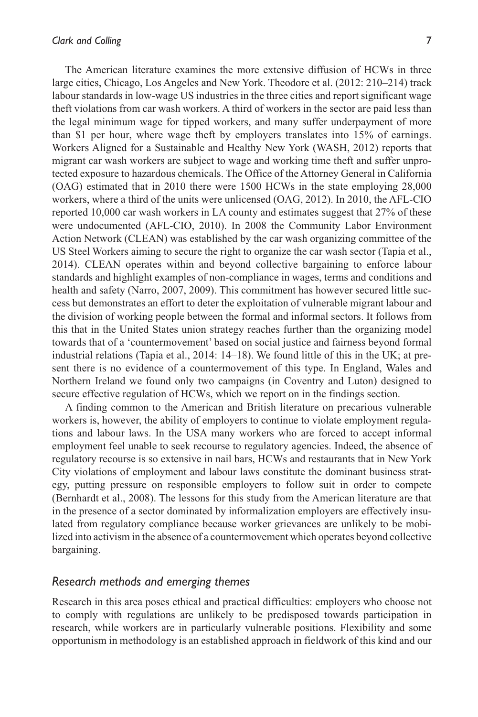The American literature examines the more extensive diffusion of HCWs in three large cities, Chicago, Los Angeles and New York. Theodore et al. (2012: 210–214) track labour standards in low-wage US industries in the three cities and report significant wage theft violations from car wash workers. A third of workers in the sector are paid less than the legal minimum wage for tipped workers, and many suffer underpayment of more than \$1 per hour, where wage theft by employers translates into 15% of earnings. Workers Aligned for a Sustainable and Healthy New York (WASH, 2012) reports that migrant car wash workers are subject to wage and working time theft and suffer unprotected exposure to hazardous chemicals. The Office of the Attorney General in California (OAG) estimated that in 2010 there were 1500 HCWs in the state employing 28,000 workers, where a third of the units were unlicensed (OAG, 2012). In 2010, the AFL-CIO reported 10,000 car wash workers in LA county and estimates suggest that 27% of these were undocumented (AFL-CIO, 2010). In 2008 the Community Labor Environment Action Network (CLEAN) was established by the car wash organizing committee of the US Steel Workers aiming to secure the right to organize the car wash sector (Tapia et al., 2014). CLEAN operates within and beyond collective bargaining to enforce labour standards and highlight examples of non-compliance in wages, terms and conditions and health and safety (Narro, 2007, 2009). This commitment has however secured little success but demonstrates an effort to deter the exploitation of vulnerable migrant labour and the division of working people between the formal and informal sectors. It follows from this that in the United States union strategy reaches further than the organizing model towards that of a 'countermovement' based on social justice and fairness beyond formal industrial relations (Tapia et al., 2014: 14–18). We found little of this in the UK; at present there is no evidence of a countermovement of this type. In England, Wales and Northern Ireland we found only two campaigns (in Coventry and Luton) designed to secure effective regulation of HCWs, which we report on in the findings section.

A finding common to the American and British literature on precarious vulnerable workers is, however, the ability of employers to continue to violate employment regulations and labour laws. In the USA many workers who are forced to accept informal employment feel unable to seek recourse to regulatory agencies. Indeed, the absence of regulatory recourse is so extensive in nail bars, HCWs and restaurants that in New York City violations of employment and labour laws constitute the dominant business strategy, putting pressure on responsible employers to follow suit in order to compete (Bernhardt et al., 2008). The lessons for this study from the American literature are that in the presence of a sector dominated by informalization employers are effectively insulated from regulatory compliance because worker grievances are unlikely to be mobilized into activism in the absence of a countermovement which operates beyond collective bargaining.

### *Research methods and emerging themes*

Research in this area poses ethical and practical difficulties: employers who choose not to comply with regulations are unlikely to be predisposed towards participation in research, while workers are in particularly vulnerable positions. Flexibility and some opportunism in methodology is an established approach in fieldwork of this kind and our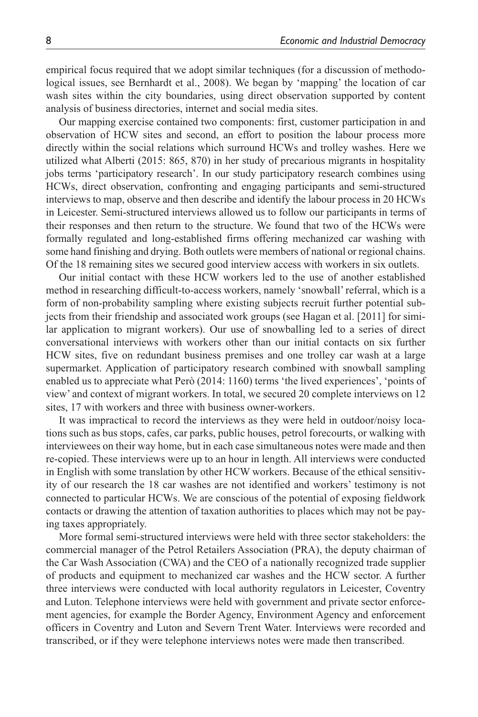empirical focus required that we adopt similar techniques (for a discussion of methodological issues, see Bernhardt et al., 2008). We began by 'mapping' the location of car wash sites within the city boundaries, using direct observation supported by content analysis of business directories, internet and social media sites.

Our mapping exercise contained two components: first, customer participation in and observation of HCW sites and second, an effort to position the labour process more directly within the social relations which surround HCWs and trolley washes. Here we utilized what Alberti (2015: 865, 870) in her study of precarious migrants in hospitality jobs terms 'participatory research'. In our study participatory research combines using HCWs, direct observation, confronting and engaging participants and semi-structured interviews to map, observe and then describe and identify the labour process in 20 HCWs in Leicester. Semi-structured interviews allowed us to follow our participants in terms of their responses and then return to the structure. We found that two of the HCWs were formally regulated and long-established firms offering mechanized car washing with some hand finishing and drying. Both outlets were members of national or regional chains. Of the 18 remaining sites we secured good interview access with workers in six outlets.

Our initial contact with these HCW workers led to the use of another established method in researching difficult-to-access workers, namely 'snowball' referral, which is a form of non-probability sampling where existing subjects recruit further potential subjects from their friendship and associated work groups (see Hagan et al. [2011] for similar application to migrant workers). Our use of snowballing led to a series of direct conversational interviews with workers other than our initial contacts on six further HCW sites, five on redundant business premises and one trolley car wash at a large supermarket. Application of participatory research combined with snowball sampling enabled us to appreciate what Però (2014: 1160) terms 'the lived experiences', 'points of view' and context of migrant workers. In total, we secured 20 complete interviews on 12 sites, 17 with workers and three with business owner-workers.

It was impractical to record the interviews as they were held in outdoor/noisy locations such as bus stops, cafes, car parks, public houses, petrol forecourts, or walking with interviewees on their way home, but in each case simultaneous notes were made and then re-copied. These interviews were up to an hour in length. All interviews were conducted in English with some translation by other HCW workers. Because of the ethical sensitivity of our research the 18 car washes are not identified and workers' testimony is not connected to particular HCWs. We are conscious of the potential of exposing fieldwork contacts or drawing the attention of taxation authorities to places which may not be paying taxes appropriately.

More formal semi-structured interviews were held with three sector stakeholders: the commercial manager of the Petrol Retailers Association (PRA), the deputy chairman of the Car Wash Association (CWA) and the CEO of a nationally recognized trade supplier of products and equipment to mechanized car washes and the HCW sector. A further three interviews were conducted with local authority regulators in Leicester, Coventry and Luton. Telephone interviews were held with government and private sector enforcement agencies, for example the Border Agency, Environment Agency and enforcement officers in Coventry and Luton and Severn Trent Water. Interviews were recorded and transcribed, or if they were telephone interviews notes were made then transcribed.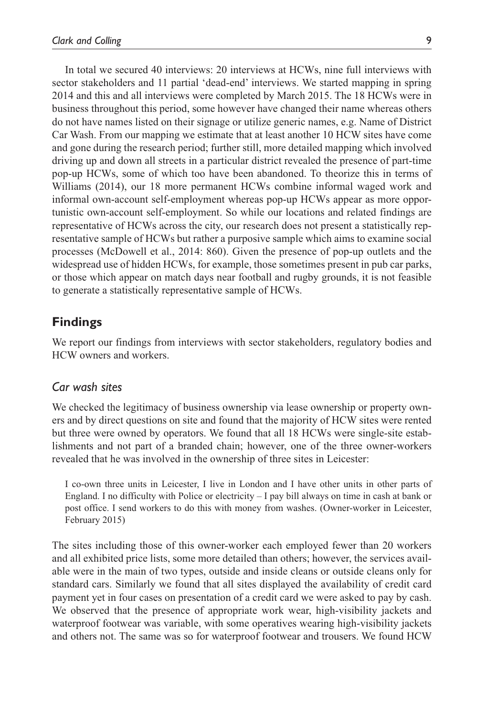In total we secured 40 interviews: 20 interviews at HCWs, nine full interviews with sector stakeholders and 11 partial 'dead-end' interviews. We started mapping in spring 2014 and this and all interviews were completed by March 2015. The 18 HCWs were in business throughout this period, some however have changed their name whereas others do not have names listed on their signage or utilize generic names, e.g. Name of District Car Wash. From our mapping we estimate that at least another 10 HCW sites have come and gone during the research period; further still, more detailed mapping which involved driving up and down all streets in a particular district revealed the presence of part-time pop-up HCWs, some of which too have been abandoned. To theorize this in terms of Williams (2014), our 18 more permanent HCWs combine informal waged work and informal own-account self-employment whereas pop-up HCWs appear as more oppor-

tunistic own-account self-employment. So while our locations and related findings are representative of HCWs across the city, our research does not present a statistically representative sample of HCWs but rather a purposive sample which aims to examine social processes (McDowell et al., 2014: 860). Given the presence of pop-up outlets and the widespread use of hidden HCWs, for example, those sometimes present in pub car parks, or those which appear on match days near football and rugby grounds, it is not feasible to generate a statistically representative sample of HCWs.

## **Findings**

We report our findings from interviews with sector stakeholders, regulatory bodies and HCW owners and workers.

## *Car wash sites*

We checked the legitimacy of business ownership via lease ownership or property owners and by direct questions on site and found that the majority of HCW sites were rented but three were owned by operators. We found that all 18 HCWs were single-site establishments and not part of a branded chain; however, one of the three owner-workers revealed that he was involved in the ownership of three sites in Leicester:

I co-own three units in Leicester, I live in London and I have other units in other parts of England. I no difficulty with Police or electricity  $- I$  pay bill always on time in cash at bank or post office. I send workers to do this with money from washes. (Owner-worker in Leicester, February 2015)

The sites including those of this owner-worker each employed fewer than 20 workers and all exhibited price lists, some more detailed than others; however, the services available were in the main of two types, outside and inside cleans or outside cleans only for standard cars. Similarly we found that all sites displayed the availability of credit card payment yet in four cases on presentation of a credit card we were asked to pay by cash. We observed that the presence of appropriate work wear, high-visibility jackets and waterproof footwear was variable, with some operatives wearing high-visibility jackets and others not. The same was so for waterproof footwear and trousers. We found HCW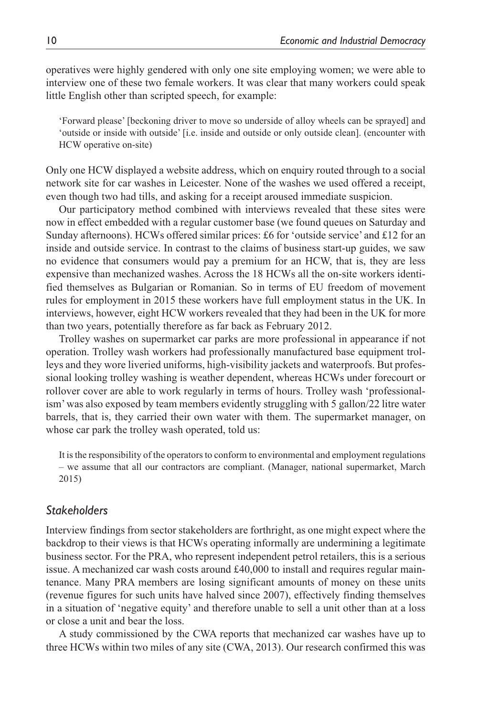operatives were highly gendered with only one site employing women; we were able to interview one of these two female workers. It was clear that many workers could speak little English other than scripted speech, for example:

'Forward please' [beckoning driver to move so underside of alloy wheels can be sprayed] and 'outside or inside with outside' [i.e. inside and outside or only outside clean]. (encounter with HCW operative on-site)

Only one HCW displayed a website address, which on enquiry routed through to a social network site for car washes in Leicester. None of the washes we used offered a receipt, even though two had tills, and asking for a receipt aroused immediate suspicion.

Our participatory method combined with interviews revealed that these sites were now in effect embedded with a regular customer base (we found queues on Saturday and Sunday afternoons). HCWs offered similar prices: £6 for 'outside service' and £12 for an inside and outside service. In contrast to the claims of business start-up guides, we saw no evidence that consumers would pay a premium for an HCW, that is, they are less expensive than mechanized washes. Across the 18 HCWs all the on-site workers identified themselves as Bulgarian or Romanian. So in terms of EU freedom of movement rules for employment in 2015 these workers have full employment status in the UK. In interviews, however, eight HCW workers revealed that they had been in the UK for more than two years, potentially therefore as far back as February 2012.

Trolley washes on supermarket car parks are more professional in appearance if not operation. Trolley wash workers had professionally manufactured base equipment trolleys and they wore liveried uniforms, high-visibility jackets and waterproofs. But professional looking trolley washing is weather dependent, whereas HCWs under forecourt or rollover cover are able to work regularly in terms of hours. Trolley wash 'professionalism' was also exposed by team members evidently struggling with 5 gallon/22 litre water barrels, that is, they carried their own water with them. The supermarket manager, on whose car park the trolley wash operated, told us:

It is the responsibility of the operators to conform to environmental and employment regulations – we assume that all our contractors are compliant. (Manager, national supermarket, March 2015)

### *Stakeholders*

Interview findings from sector stakeholders are forthright, as one might expect where the backdrop to their views is that HCWs operating informally are undermining a legitimate business sector. For the PRA, who represent independent petrol retailers, this is a serious issue. A mechanized car wash costs around  $£40,000$  to install and requires regular maintenance. Many PRA members are losing significant amounts of money on these units (revenue figures for such units have halved since 2007), effectively finding themselves in a situation of 'negative equity' and therefore unable to sell a unit other than at a loss or close a unit and bear the loss.

A study commissioned by the CWA reports that mechanized car washes have up to three HCWs within two miles of any site (CWA, 2013). Our research confirmed this was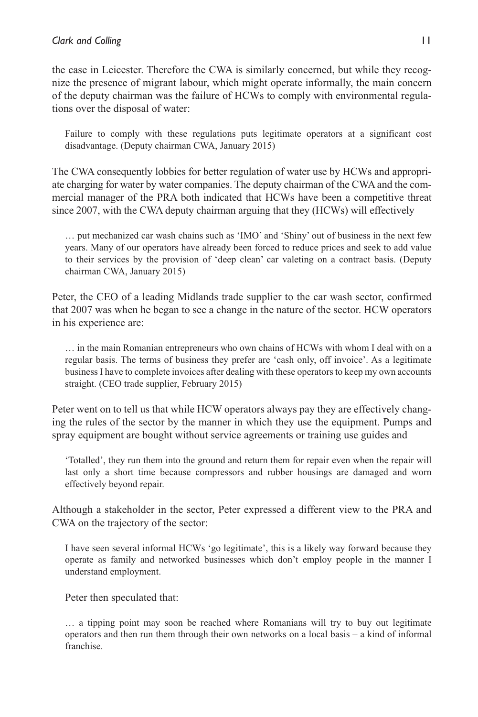the case in Leicester. Therefore the CWA is similarly concerned, but while they recognize the presence of migrant labour, which might operate informally, the main concern of the deputy chairman was the failure of HCWs to comply with environmental regulations over the disposal of water:

Failure to comply with these regulations puts legitimate operators at a significant cost disadvantage. (Deputy chairman CWA, January 2015)

The CWA consequently lobbies for better regulation of water use by HCWs and appropriate charging for water by water companies. The deputy chairman of the CWA and the commercial manager of the PRA both indicated that HCWs have been a competitive threat since 2007, with the CWA deputy chairman arguing that they (HCWs) will effectively

… put mechanized car wash chains such as 'IMO' and 'Shiny' out of business in the next few years. Many of our operators have already been forced to reduce prices and seek to add value to their services by the provision of 'deep clean' car valeting on a contract basis. (Deputy chairman CWA, January 2015)

Peter, the CEO of a leading Midlands trade supplier to the car wash sector, confirmed that 2007 was when he began to see a change in the nature of the sector. HCW operators in his experience are:

… in the main Romanian entrepreneurs who own chains of HCWs with whom I deal with on a regular basis. The terms of business they prefer are 'cash only, off invoice'. As a legitimate business I have to complete invoices after dealing with these operators to keep my own accounts straight. (CEO trade supplier, February 2015)

Peter went on to tell us that while HCW operators always pay they are effectively changing the rules of the sector by the manner in which they use the equipment. Pumps and spray equipment are bought without service agreements or training use guides and

'Totalled', they run them into the ground and return them for repair even when the repair will last only a short time because compressors and rubber housings are damaged and worn effectively beyond repair.

Although a stakeholder in the sector, Peter expressed a different view to the PRA and CWA on the trajectory of the sector:

I have seen several informal HCWs 'go legitimate', this is a likely way forward because they operate as family and networked businesses which don't employ people in the manner I understand employment.

Peter then speculated that:

… a tipping point may soon be reached where Romanians will try to buy out legitimate operators and then run them through their own networks on a local basis – a kind of informal franchise.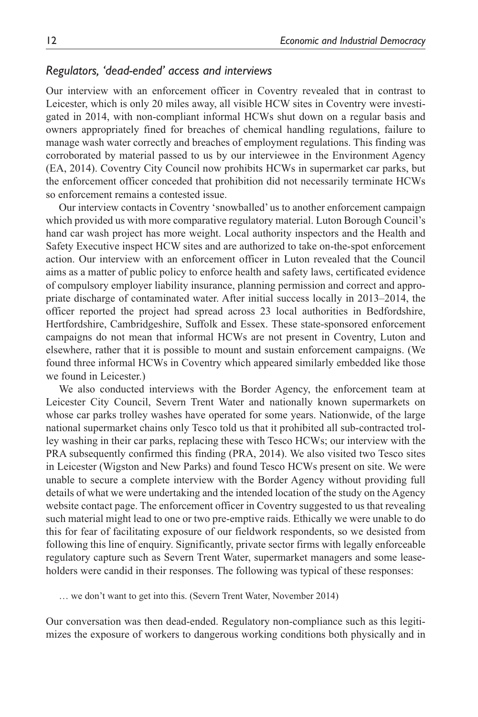### *Regulators, 'dead-ended' access and interviews*

Our interview with an enforcement officer in Coventry revealed that in contrast to Leicester, which is only 20 miles away, all visible HCW sites in Coventry were investigated in 2014, with non-compliant informal HCWs shut down on a regular basis and owners appropriately fined for breaches of chemical handling regulations, failure to manage wash water correctly and breaches of employment regulations. This finding was corroborated by material passed to us by our interviewee in the Environment Agency (EA, 2014). Coventry City Council now prohibits HCWs in supermarket car parks, but the enforcement officer conceded that prohibition did not necessarily terminate HCWs so enforcement remains a contested issue.

Our interview contacts in Coventry 'snowballed' us to another enforcement campaign which provided us with more comparative regulatory material. Luton Borough Council's hand car wash project has more weight. Local authority inspectors and the Health and Safety Executive inspect HCW sites and are authorized to take on-the-spot enforcement action. Our interview with an enforcement officer in Luton revealed that the Council aims as a matter of public policy to enforce health and safety laws, certificated evidence of compulsory employer liability insurance, planning permission and correct and appropriate discharge of contaminated water. After initial success locally in 2013–2014, the officer reported the project had spread across 23 local authorities in Bedfordshire, Hertfordshire, Cambridgeshire, Suffolk and Essex. These state-sponsored enforcement campaigns do not mean that informal HCWs are not present in Coventry, Luton and elsewhere, rather that it is possible to mount and sustain enforcement campaigns. (We found three informal HCWs in Coventry which appeared similarly embedded like those we found in Leicester.)

We also conducted interviews with the Border Agency, the enforcement team at Leicester City Council, Severn Trent Water and nationally known supermarkets on whose car parks trolley washes have operated for some years. Nationwide, of the large national supermarket chains only Tesco told us that it prohibited all sub-contracted trolley washing in their car parks, replacing these with Tesco HCWs; our interview with the PRA subsequently confirmed this finding (PRA, 2014). We also visited two Tesco sites in Leicester (Wigston and New Parks) and found Tesco HCWs present on site. We were unable to secure a complete interview with the Border Agency without providing full details of what we were undertaking and the intended location of the study on the Agency website contact page. The enforcement officer in Coventry suggested to us that revealing such material might lead to one or two pre-emptive raids. Ethically we were unable to do this for fear of facilitating exposure of our fieldwork respondents, so we desisted from following this line of enquiry. Significantly, private sector firms with legally enforceable regulatory capture such as Severn Trent Water, supermarket managers and some leaseholders were candid in their responses. The following was typical of these responses:

… we don't want to get into this. (Severn Trent Water, November 2014)

Our conversation was then dead-ended. Regulatory non-compliance such as this legitimizes the exposure of workers to dangerous working conditions both physically and in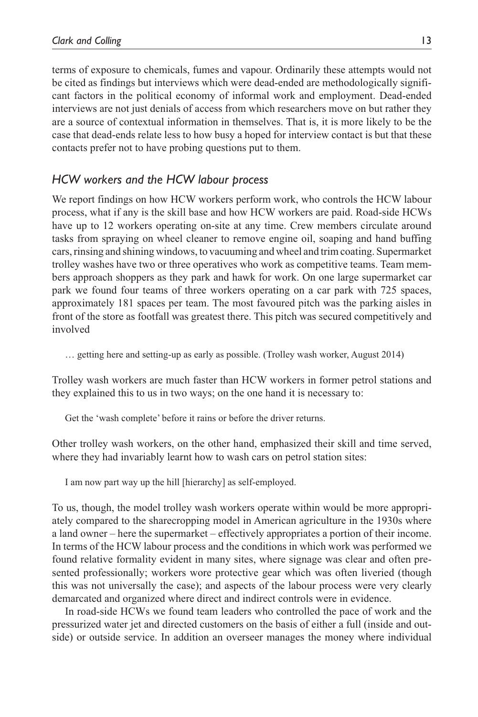terms of exposure to chemicals, fumes and vapour. Ordinarily these attempts would not be cited as findings but interviews which were dead-ended are methodologically significant factors in the political economy of informal work and employment. Dead-ended interviews are not just denials of access from which researchers move on but rather they are a source of contextual information in themselves. That is, it is more likely to be the case that dead-ends relate less to how busy a hoped for interview contact is but that these contacts prefer not to have probing questions put to them.

## *HCW workers and the HCW labour process*

We report findings on how HCW workers perform work, who controls the HCW labour process, what if any is the skill base and how HCW workers are paid. Road-side HCWs have up to 12 workers operating on-site at any time. Crew members circulate around tasks from spraying on wheel cleaner to remove engine oil, soaping and hand buffing cars, rinsing and shining windows, to vacuuming and wheel and trim coating. Supermarket trolley washes have two or three operatives who work as competitive teams. Team members approach shoppers as they park and hawk for work. On one large supermarket car park we found four teams of three workers operating on a car park with 725 spaces, approximately 181 spaces per team. The most favoured pitch was the parking aisles in front of the store as footfall was greatest there. This pitch was secured competitively and involved

… getting here and setting-up as early as possible. (Trolley wash worker, August 2014)

Trolley wash workers are much faster than HCW workers in former petrol stations and they explained this to us in two ways; on the one hand it is necessary to:

Get the 'wash complete' before it rains or before the driver returns.

Other trolley wash workers, on the other hand, emphasized their skill and time served, where they had invariably learnt how to wash cars on petrol station sites:

I am now part way up the hill [hierarchy] as self-employed.

To us, though, the model trolley wash workers operate within would be more appropriately compared to the sharecropping model in American agriculture in the 1930s where a land owner – here the supermarket – effectively appropriates a portion of their income. In terms of the HCW labour process and the conditions in which work was performed we found relative formality evident in many sites, where signage was clear and often presented professionally; workers wore protective gear which was often liveried (though this was not universally the case); and aspects of the labour process were very clearly demarcated and organized where direct and indirect controls were in evidence.

In road-side HCWs we found team leaders who controlled the pace of work and the pressurized water jet and directed customers on the basis of either a full (inside and outside) or outside service. In addition an overseer manages the money where individual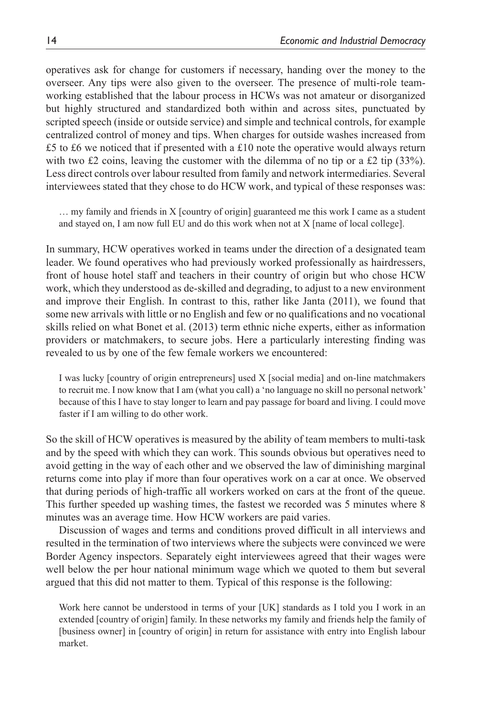operatives ask for change for customers if necessary, handing over the money to the overseer. Any tips were also given to the overseer. The presence of multi-role teamworking established that the labour process in HCWs was not amateur or disorganized but highly structured and standardized both within and across sites, punctuated by scripted speech (inside or outside service) and simple and technical controls, for example centralized control of money and tips. When charges for outside washes increased from £5 to £6 we noticed that if presented with a £10 note the operative would always return with two £2 coins, leaving the customer with the dilemma of no tip or a £2 tip (33%). Less direct controls over labour resulted from family and network intermediaries. Several interviewees stated that they chose to do HCW work, and typical of these responses was:

… my family and friends in X [country of origin] guaranteed me this work I came as a student and stayed on, I am now full EU and do this work when not at X [name of local college].

In summary, HCW operatives worked in teams under the direction of a designated team leader. We found operatives who had previously worked professionally as hairdressers, front of house hotel staff and teachers in their country of origin but who chose HCW work, which they understood as de-skilled and degrading, to adjust to a new environment and improve their English. In contrast to this, rather like Janta (2011), we found that some new arrivals with little or no English and few or no qualifications and no vocational skills relied on what Bonet et al. (2013) term ethnic niche experts, either as information providers or matchmakers, to secure jobs. Here a particularly interesting finding was revealed to us by one of the few female workers we encountered:

I was lucky [country of origin entrepreneurs] used X [social media] and on-line matchmakers to recruit me. I now know that I am (what you call) a 'no language no skill no personal network' because of this I have to stay longer to learn and pay passage for board and living. I could move faster if I am willing to do other work.

So the skill of HCW operatives is measured by the ability of team members to multi-task and by the speed with which they can work. This sounds obvious but operatives need to avoid getting in the way of each other and we observed the law of diminishing marginal returns come into play if more than four operatives work on a car at once. We observed that during periods of high-traffic all workers worked on cars at the front of the queue. This further speeded up washing times, the fastest we recorded was 5 minutes where 8 minutes was an average time. How HCW workers are paid varies.

Discussion of wages and terms and conditions proved difficult in all interviews and resulted in the termination of two interviews where the subjects were convinced we were Border Agency inspectors. Separately eight interviewees agreed that their wages were well below the per hour national minimum wage which we quoted to them but several argued that this did not matter to them. Typical of this response is the following:

Work here cannot be understood in terms of your [UK] standards as I told you I work in an extended [country of origin] family. In these networks my family and friends help the family of [business owner] in [country of origin] in return for assistance with entry into English labour market.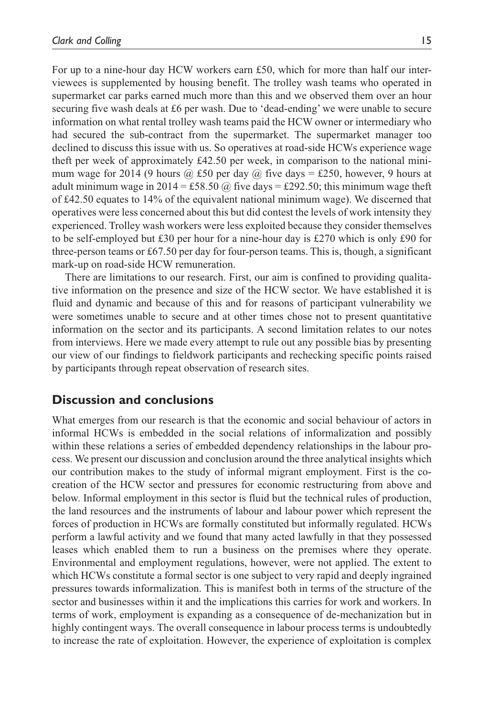For up to a nine-hour day HCW workers earn £50, which for more than half our interviewees is supplemented by housing benefit. The trolley wash teams who operated in supermarket car parks earned much more than this and we observed them over an hour securing five wash deals at £6 per wash. Due to 'dead-ending' we were unable to secure information on what rental trolley wash teams paid the HCW owner or intermediary who had secured the sub-contract from the supermarket. The supermarket manager too declined to discuss this issue with us. So operatives at road-side HCWs experience wage theft per week of approximately £42.50 per week, in comparison to the national minimum wage for 2014 (9 hours @ £50 per day @ five days = £250, however, 9 hours at adult minimum wage in 2014 = £58.50 @ five days = £292.50; this minimum wage theft of £42.50 equates to 14% of the equivalent national minimum wage). We discerned that operatives were less concerned about this but did contest the levels of work intensity they experienced. Trolley wash workers were less exploited because they consider themselves to be self-employed but £30 per hour for a nine-hour day is £270 which is only £90 for three-person teams or £67.50 per day for four-person teams. This is, though, a significant mark-up on road-side HCW remuneration.

There are limitations to our research. First, our aim is confined to providing qualitative information on the presence and size of the HCW sector. We have established it is fluid and dynamic and because of this and for reasons of participant vulnerability we were sometimes unable to secure and at other times chose not to present quantitative information on the sector and its participants. A second limitation relates to our notes from interviews. Here we made every attempt to rule out any possible bias by presenting our view of our findings to fieldwork participants and rechecking specific points raised by participants through repeat observation of research sites.

## **Discussion and conclusions**

What emerges from our research is that the economic and social behaviour of actors in informal HCWs is embedded in the social relations of informalization and possibly within these relations a series of embedded dependency relationships in the labour process. We present our discussion and conclusion around the three analytical insights which our contribution makes to the study of informal migrant employment. First is the cocreation of the HCW sector and pressures for economic restructuring from above and below. Informal employment in this sector is fluid but the technical rules of production, the land resources and the instruments of labour and labour power which represent the forces of production in HCWs are formally constituted but informally regulated. HCWs perform a lawful activity and we found that many acted lawfully in that they possessed leases which enabled them to run a business on the premises where they operate. Environmental and employment regulations, however, were not applied. The extent to which HCWs constitute a formal sector is one subject to very rapid and deeply ingrained pressures towards informalization. This is manifest both in terms of the structure of the sector and businesses within it and the implications this carries for work and workers. In terms of work, employment is expanding as a consequence of de-mechanization but in highly contingent ways. The overall consequence in labour process terms is undoubtedly to increase the rate of exploitation. However, the experience of exploitation is complex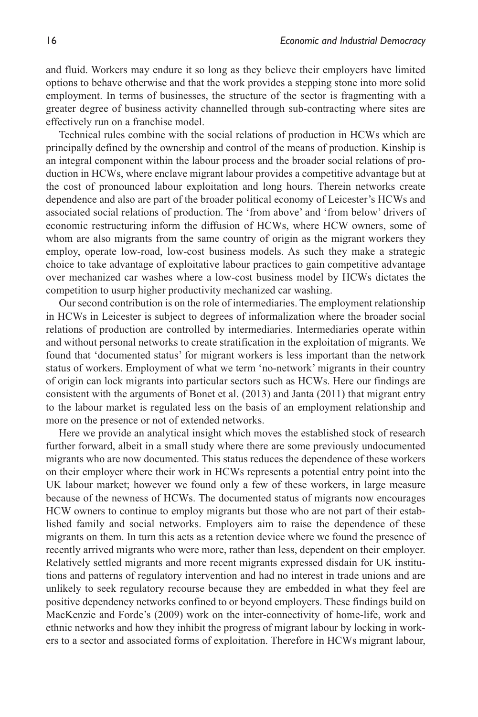and fluid. Workers may endure it so long as they believe their employers have limited options to behave otherwise and that the work provides a stepping stone into more solid employment. In terms of businesses, the structure of the sector is fragmenting with a greater degree of business activity channelled through sub-contracting where sites are effectively run on a franchise model.

Technical rules combine with the social relations of production in HCWs which are principally defined by the ownership and control of the means of production. Kinship is an integral component within the labour process and the broader social relations of production in HCWs, where enclave migrant labour provides a competitive advantage but at the cost of pronounced labour exploitation and long hours. Therein networks create dependence and also are part of the broader political economy of Leicester's HCWs and associated social relations of production. The 'from above' and 'from below' drivers of economic restructuring inform the diffusion of HCWs, where HCW owners, some of whom are also migrants from the same country of origin as the migrant workers they employ, operate low-road, low-cost business models. As such they make a strategic choice to take advantage of exploitative labour practices to gain competitive advantage over mechanized car washes where a low-cost business model by HCWs dictates the competition to usurp higher productivity mechanized car washing.

Our second contribution is on the role of intermediaries. The employment relationship in HCWs in Leicester is subject to degrees of informalization where the broader social relations of production are controlled by intermediaries. Intermediaries operate within and without personal networks to create stratification in the exploitation of migrants. We found that 'documented status' for migrant workers is less important than the network status of workers. Employment of what we term 'no-network' migrants in their country of origin can lock migrants into particular sectors such as HCWs. Here our findings are consistent with the arguments of Bonet et al. (2013) and Janta (2011) that migrant entry to the labour market is regulated less on the basis of an employment relationship and more on the presence or not of extended networks.

Here we provide an analytical insight which moves the established stock of research further forward, albeit in a small study where there are some previously undocumented migrants who are now documented. This status reduces the dependence of these workers on their employer where their work in HCWs represents a potential entry point into the UK labour market; however we found only a few of these workers, in large measure because of the newness of HCWs. The documented status of migrants now encourages HCW owners to continue to employ migrants but those who are not part of their established family and social networks. Employers aim to raise the dependence of these migrants on them. In turn this acts as a retention device where we found the presence of recently arrived migrants who were more, rather than less, dependent on their employer. Relatively settled migrants and more recent migrants expressed disdain for UK institutions and patterns of regulatory intervention and had no interest in trade unions and are unlikely to seek regulatory recourse because they are embedded in what they feel are positive dependency networks confined to or beyond employers. These findings build on MacKenzie and Forde's (2009) work on the inter-connectivity of home-life, work and ethnic networks and how they inhibit the progress of migrant labour by locking in workers to a sector and associated forms of exploitation. Therefore in HCWs migrant labour,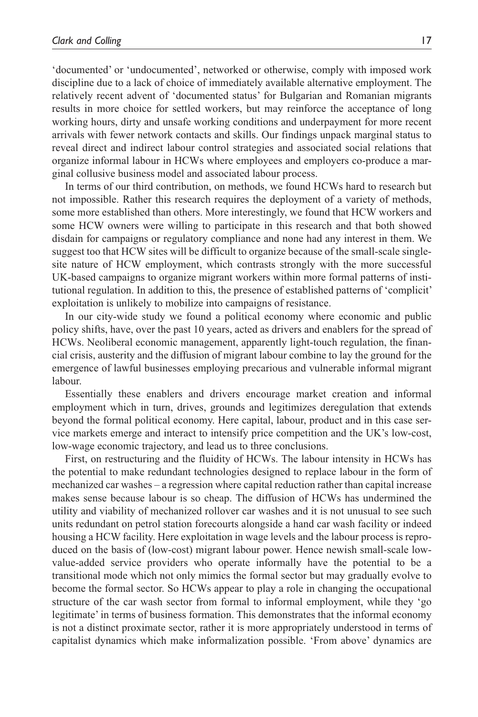'documented' or 'undocumented', networked or otherwise, comply with imposed work discipline due to a lack of choice of immediately available alternative employment. The relatively recent advent of 'documented status' for Bulgarian and Romanian migrants results in more choice for settled workers, but may reinforce the acceptance of long working hours, dirty and unsafe working conditions and underpayment for more recent arrivals with fewer network contacts and skills. Our findings unpack marginal status to reveal direct and indirect labour control strategies and associated social relations that organize informal labour in HCWs where employees and employers co-produce a marginal collusive business model and associated labour process.

In terms of our third contribution, on methods, we found HCWs hard to research but not impossible. Rather this research requires the deployment of a variety of methods, some more established than others. More interestingly, we found that HCW workers and some HCW owners were willing to participate in this research and that both showed disdain for campaigns or regulatory compliance and none had any interest in them. We suggest too that HCW sites will be difficult to organize because of the small-scale singlesite nature of HCW employment, which contrasts strongly with the more successful UK-based campaigns to organize migrant workers within more formal patterns of institutional regulation. In addition to this, the presence of established patterns of 'complicit' exploitation is unlikely to mobilize into campaigns of resistance.

In our city-wide study we found a political economy where economic and public policy shifts, have, over the past 10 years, acted as drivers and enablers for the spread of HCWs. Neoliberal economic management, apparently light-touch regulation, the financial crisis, austerity and the diffusion of migrant labour combine to lay the ground for the emergence of lawful businesses employing precarious and vulnerable informal migrant labour.

Essentially these enablers and drivers encourage market creation and informal employment which in turn, drives, grounds and legitimizes deregulation that extends beyond the formal political economy. Here capital, labour, product and in this case service markets emerge and interact to intensify price competition and the UK's low-cost, low-wage economic trajectory, and lead us to three conclusions.

First, on restructuring and the fluidity of HCWs. The labour intensity in HCWs has the potential to make redundant technologies designed to replace labour in the form of mechanized car washes – a regression where capital reduction rather than capital increase makes sense because labour is so cheap. The diffusion of HCWs has undermined the utility and viability of mechanized rollover car washes and it is not unusual to see such units redundant on petrol station forecourts alongside a hand car wash facility or indeed housing a HCW facility. Here exploitation in wage levels and the labour process is reproduced on the basis of (low-cost) migrant labour power. Hence newish small-scale lowvalue-added service providers who operate informally have the potential to be a transitional mode which not only mimics the formal sector but may gradually evolve to become the formal sector. So HCWs appear to play a role in changing the occupational structure of the car wash sector from formal to informal employment, while they 'go legitimate' in terms of business formation. This demonstrates that the informal economy is not a distinct proximate sector, rather it is more appropriately understood in terms of capitalist dynamics which make informalization possible. 'From above' dynamics are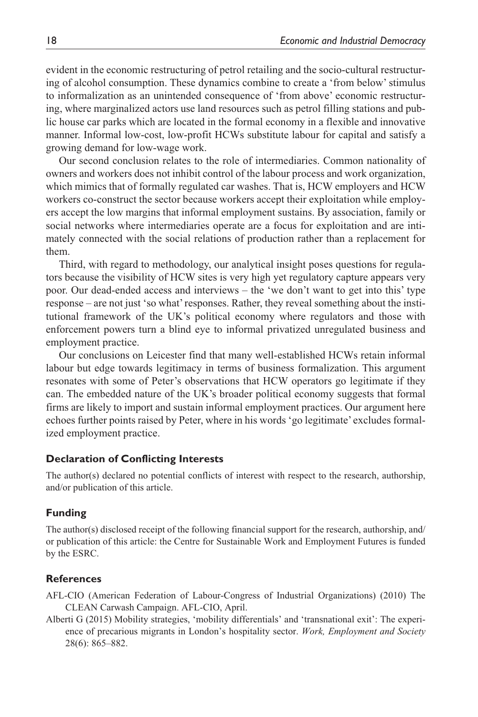evident in the economic restructuring of petrol retailing and the socio-cultural restructuring of alcohol consumption. These dynamics combine to create a 'from below' stimulus to informalization as an unintended consequence of 'from above' economic restructuring, where marginalized actors use land resources such as petrol filling stations and public house car parks which are located in the formal economy in a flexible and innovative manner. Informal low-cost, low-profit HCWs substitute labour for capital and satisfy a growing demand for low-wage work.

Our second conclusion relates to the role of intermediaries. Common nationality of owners and workers does not inhibit control of the labour process and work organization, which mimics that of formally regulated car washes. That is, HCW employers and HCW workers co-construct the sector because workers accept their exploitation while employers accept the low margins that informal employment sustains. By association, family or social networks where intermediaries operate are a focus for exploitation and are intimately connected with the social relations of production rather than a replacement for them.

Third, with regard to methodology, our analytical insight poses questions for regulators because the visibility of HCW sites is very high yet regulatory capture appears very poor. Our dead-ended access and interviews – the 'we don't want to get into this' type response – are not just 'so what' responses. Rather, they reveal something about the institutional framework of the UK's political economy where regulators and those with enforcement powers turn a blind eye to informal privatized unregulated business and employment practice.

Our conclusions on Leicester find that many well-established HCWs retain informal labour but edge towards legitimacy in terms of business formalization. This argument resonates with some of Peter's observations that HCW operators go legitimate if they can. The embedded nature of the UK's broader political economy suggests that formal firms are likely to import and sustain informal employment practices. Our argument here echoes further points raised by Peter, where in his words 'go legitimate' excludes formalized employment practice.

### **Declaration of Conflicting Interests**

The author(s) declared no potential conflicts of interest with respect to the research, authorship, and/or publication of this article.

#### **Funding**

The author(s) disclosed receipt of the following financial support for the research, authorship, and/ or publication of this article: the Centre for Sustainable Work and Employment Futures is funded by the ESRC.

#### **References**

- AFL-CIO (American Federation of Labour-Congress of Industrial Organizations) (2010) The CLEAN Carwash Campaign. AFL-CIO, April.
- Alberti G (2015) Mobility strategies, 'mobility differentials' and 'transnational exit': The experience of precarious migrants in London's hospitality sector. *Work, Employment and Society* 28(6): 865–882.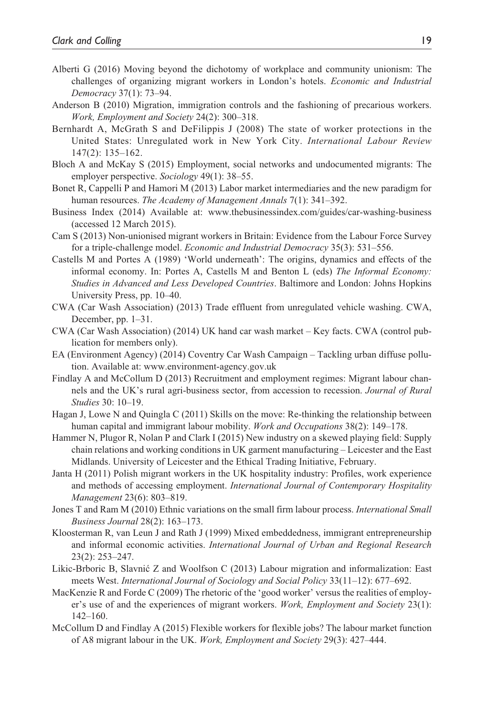- Alberti G (2016) Moving beyond the dichotomy of workplace and community unionism: The challenges of organizing migrant workers in London's hotels. *Economic and Industrial Democracy* 37(1): 73–94.
- Anderson B (2010) Migration, immigration controls and the fashioning of precarious workers. *Work, Employment and Society* 24(2): 300–318.
- Bernhardt A, McGrath S and DeFilippis J (2008) The state of worker protections in the United States: Unregulated work in New York City. *International Labour Review* 147(2): 135–162.
- Bloch A and McKay S (2015) Employment, social networks and undocumented migrants: The employer perspective. *Sociology* 49(1): 38–55.
- Bonet R, Cappelli P and Hamori M (2013) Labor market intermediaries and the new paradigm for human resources. *The Academy of Management Annals* 7(1): 341–392.
- Business Index (2014) Available at: <www.thebusinessindex.com/guides/car-washing-business> (accessed 12 March 2015).
- Cam S (2013) Non-unionised migrant workers in Britain: Evidence from the Labour Force Survey for a triple-challenge model. *Economic and Industrial Democracy* 35(3): 531–556.
- Castells M and Portes A (1989) 'World underneath': The origins, dynamics and effects of the informal economy. In: Portes A, Castells M and Benton L (eds) *The Informal Economy: Studies in Advanced and Less Developed Countries*. Baltimore and London: Johns Hopkins University Press, pp. 10–40.
- CWA (Car Wash Association) (2013) Trade effluent from unregulated vehicle washing. CWA, December, pp. 1–31.
- CWA (Car Wash Association) (2014) UK hand car wash market Key facts. CWA (control publication for members only).
- EA (Environment Agency) (2014) Coventry Car Wash Campaign Tackling urban diffuse pollution. Available at:<www.environment-agency.gov.uk>
- Findlay A and McCollum D (2013) Recruitment and employment regimes: Migrant labour channels and the UK's rural agri-business sector, from accession to recession. *Journal of Rural Studies* 30: 10–19.
- Hagan J, Lowe N and Quingla C (2011) Skills on the move: Re-thinking the relationship between human capital and immigrant labour mobility. *Work and Occupations* 38(2): 149–178.
- Hammer N, Plugor R, Nolan P and Clark I (2015) New industry on a skewed playing field: Supply chain relations and working conditions in UK garment manufacturing – Leicester and the East Midlands. University of Leicester and the Ethical Trading Initiative, February.
- Janta H (2011) Polish migrant workers in the UK hospitality industry: Profiles, work experience and methods of accessing employment. *International Journal of Contemporary Hospitality Management* 23(6): 803–819.
- Jones T and Ram M (2010) Ethnic variations on the small firm labour process. *International Small Business Journal* 28(2): 163–173.
- Kloosterman R, van Leun J and Rath J (1999) Mixed embeddedness, immigrant entrepreneurship and informal economic activities. *International Journal of Urban and Regional Research* 23(2): 253–247.
- Likic-Brboric B, Slavnić Z and Woolfson C (2013) Labour migration and informalization: East meets West. *International Journal of Sociology and Social Policy* 33(11–12): 677–692.
- MacKenzie R and Forde C (2009) The rhetoric of the 'good worker' versus the realities of employer's use of and the experiences of migrant workers. *Work, Employment and Society* 23(1): 142–160.
- McCollum D and Findlay A (2015) Flexible workers for flexible jobs? The labour market function of A8 migrant labour in the UK. *Work, Employment and Society* 29(3): 427–444.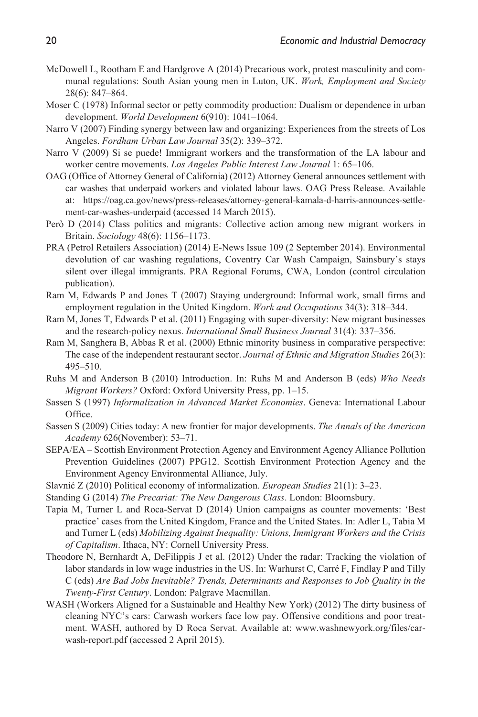- McDowell L, Rootham E and Hardgrove A (2014) Precarious work, protest masculinity and communal regulations: South Asian young men in Luton, UK. *Work, Employment and Society* 28(6): 847–864.
- Moser C (1978) Informal sector or petty commodity production: Dualism or dependence in urban development. *World Development* 6(910): 1041–1064.
- Narro V (2007) Finding synergy between law and organizing: Experiences from the streets of Los Angeles. *Fordham Urban Law Journal* 35(2): 339–372.
- Narro V (2009) Si se puede! Immigrant workers and the transformation of the LA labour and worker centre movements. *Los Angeles Public Interest Law Journal* 1: 65–106.
- OAG (Office of Attorney General of California) (2012) Attorney General announces settlement with car washes that underpaid workers and violated labour laws. OAG Press Release. Available at: [https://oag.ca.gov/news/press-releases/attorney-general-kamala-d-harris-announces-settle](https://oag.ca.gov/news/press-releases/attorney-general-kamala-d-harris-announces-settlement-car-washes-underpaid)[ment-car-washes-underpaid](https://oag.ca.gov/news/press-releases/attorney-general-kamala-d-harris-announces-settlement-car-washes-underpaid) (accessed 14 March 2015).
- Però D (2014) Class politics and migrants: Collective action among new migrant workers in Britain. *Sociology* 48(6): 1156–1173.
- PRA (Petrol Retailers Association) (2014) E-News Issue 109 (2 September 2014). Environmental devolution of car washing regulations, Coventry Car Wash Campaign, Sainsbury's stays silent over illegal immigrants. PRA Regional Forums, CWA, London (control circulation publication).
- Ram M, Edwards P and Jones T (2007) Staying underground: Informal work, small firms and employment regulation in the United Kingdom. *Work and Occupations* 34(3): 318–344.
- Ram M, Jones T, Edwards P et al. (2011) Engaging with super-diversity: New migrant businesses and the research-policy nexus. *International Small Business Journal* 31(4): 337–356.
- Ram M, Sanghera B, Abbas R et al. (2000) Ethnic minority business in comparative perspective: The case of the independent restaurant sector. *Journal of Ethnic and Migration Studies* 26(3): 495–510.
- Ruhs M and Anderson B (2010) Introduction. In: Ruhs M and Anderson B (eds) *Who Needs Migrant Workers?* Oxford: Oxford University Press, pp. 1–15.
- Sassen S (1997) *Informalization in Advanced Market Economies*. Geneva: International Labour Office.
- Sassen S (2009) Cities today: A new frontier for major developments. *The Annals of the American Academy* 626(November): 53–71.
- SEPA/EA Scottish Environment Protection Agency and Environment Agency Alliance Pollution Prevention Guidelines (2007) PPG12. Scottish Environment Protection Agency and the Environment Agency Environmental Alliance, July.
- Slavnić Z (2010) Political economy of informalization. *European Studies* 21(1): 3–23.
- Standing G (2014) *The Precariat: The New Dangerous Class*. London: Bloomsbury.
- Tapia M, Turner L and Roca-Servat D (2014) Union campaigns as counter movements: 'Best practice' cases from the United Kingdom, France and the United States. In: Adler L, Tabia M and Turner L (eds) *Mobilizing Against Inequality: Unions, Immigrant Workers and the Crisis of Capitalism*. Ithaca, NY: Cornell University Press.
- Theodore N, Bernhardt A, DeFilippis J et al. (2012) Under the radar: Tracking the violation of labor standards in low wage industries in the US. In: Warhurst C, Carré F, Findlay P and Tilly C (eds) *Are Bad Jobs Inevitable? Trends, Determinants and Responses to Job Quality in the Twenty-First Century*. London: Palgrave Macmillan.
- WASH (Workers Aligned for a Sustainable and Healthy New York) (2012) The dirty business of cleaning NYC's cars: Carwash workers face low pay. Offensive conditions and poor treatment. WASH, authored by D Roca Servat. Available at: [www.washnewyork.org/files/car](www.washnewyork.org/files/car-wash-report.pdf)[wash-report.pdf](www.washnewyork.org/files/car-wash-report.pdf) (accessed 2 April 2015).